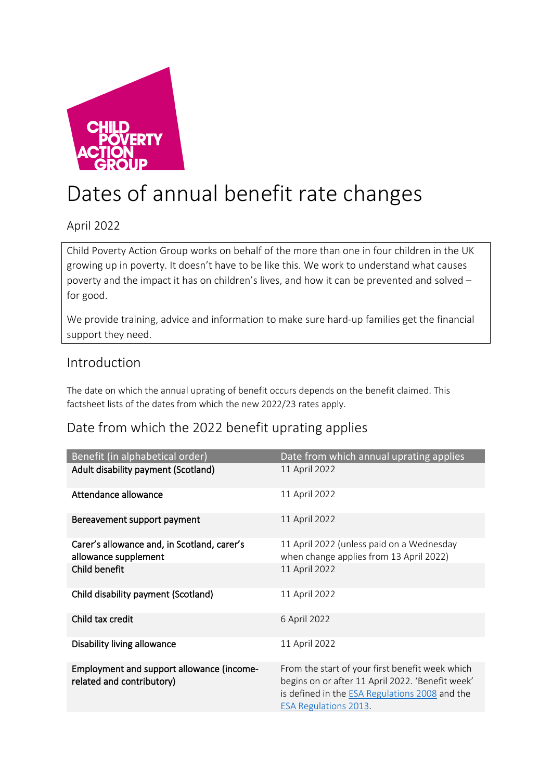

# Dates of annual benefit rate changes

### April 2022

Child Poverty Action Group works on behalf of the more than one in four children in the UK growing up in poverty. It doesn't have to be like this. We work to understand what causes poverty and the impact it has on children's lives, and how it can be prevented and solved – for good.

We provide training, advice and information to make sure hard-up families get the financial support they need.

### Introduction

The date on which the annual uprating of benefit occurs depends on the benefit claimed. This factsheet lists of the dates from which the new 2022/23 rates apply.

## Date from which the 2022 benefit uprating applies

| Benefit (in alphabetical order)                                        | Date from which annual uprating applies                                                                                                                                               |
|------------------------------------------------------------------------|---------------------------------------------------------------------------------------------------------------------------------------------------------------------------------------|
| Adult disability payment (Scotland)                                    | 11 April 2022                                                                                                                                                                         |
| Attendance allowance                                                   | 11 April 2022                                                                                                                                                                         |
| Bereavement support payment                                            | 11 April 2022                                                                                                                                                                         |
| Carer's allowance and, in Scotland, carer's<br>allowance supplement    | 11 April 2022 (unless paid on a Wednesday<br>when change applies from 13 April 2022)                                                                                                  |
| Child benefit                                                          | 11 April 2022                                                                                                                                                                         |
| Child disability payment (Scotland)                                    | 11 April 2022                                                                                                                                                                         |
| Child tax credit                                                       | 6 April 2022                                                                                                                                                                          |
| Disability living allowance                                            | 11 April 2022                                                                                                                                                                         |
| Employment and support allowance (income-<br>related and contributory) | From the start of your first benefit week which<br>begins on or after 11 April 2022. 'Benefit week'<br>is defined in the ESA Regulations 2008 and the<br><b>ESA Regulations 2013.</b> |